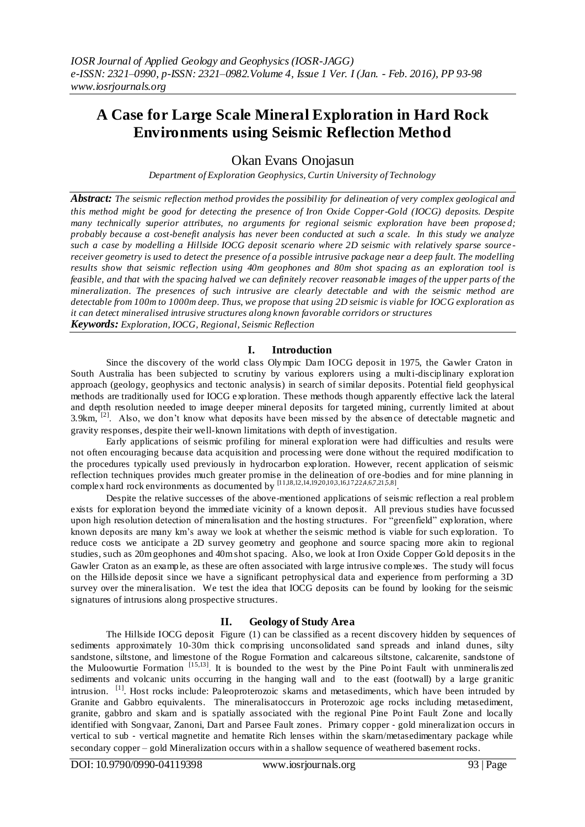## **A Case for Large Scale Mineral Exploration in Hard Rock Environments using Seismic Reflection Method**

Okan Evans Onojasun

*Department of Exploration Geophysics, Curtin University of Technology*

*Abstract: The seismic reflection method provides the possibility for delineation of very complex geological and this method might be good for detecting the presence of Iron Oxide Copper-Gold (IOCG) deposits. Despite many technically superior attributes, no arguments for regional seismic exploration have been propose d; probably because a cost-benefit analysis has never been conducted at such a scale. In this study we analyze such a case by modelling a Hillside IOCG deposit scenario where 2D seismic with relatively sparse source receiver geometry is used to detect the presence of a possible intrusive package near a deep fault. The modelling results show that seismic reflection using 40m geophones and 80m shot spacing as an exploration tool is feasible, and that with the spacing halved we can definitely recover reasonable images of the upper parts of the mineralization. The presences of such intrusive are clearly detectable and with the seismic method are detectable from 100m to 1000m deep. Thus, we propose that using 2D seismic is viable for IOCG exploration as it can detect mineralised intrusive structures along known favorable corridors or structures Keywords: Exploration, IOCG, Regional, Seismic Reflection*

**I. Introduction**

Since the discovery of the world class Olympic Dam IOCG deposit in 1975, the Gawler Craton in South Australia has been subjected to scrutiny by various explorers using a multi-disciplinary exploration approach (geology, geophysics and tectonic analysis) in search of similar deposits. Potential field geophysical methods are traditionally used for IOCG e xploration. These methods though apparently effective lack the lateral and depth resolution needed to image deeper mineral deposits for targeted mining, currently limited at about 3.9km, <sup>[2]</sup>. Also, we don't know what deposits have been missed by the absence of detectable magnetic and gravity responses, despite their well-known limitations with depth of investigation.

Early applications of seismic profiling for mineral exploration were had difficulties and results were not often encouraging because data acquisition and processing were done without the required modification to the procedures typically used previously in hydrocarbon exploration. However, recent application of seismic reflection techniques provides much greater promise in the delineation of ore-bodies and for mine planning in complex hard rock environments as documented by [11,18,12,14,1920,103,16,1722,4,6,7,215,8].

Despite the relative successes of the above-mentioned applications of seismic reflection a real problem exists for exploration beyond the immediate vicinity of a known deposit. All previous studies have focussed upon high resolution detection of mineralisation and the hosting structures. For "greenfield" exploration, where known deposits are many km's away we look at whether the seismic method is viable for such exploration. To reduce costs we anticipate a 2D survey geometry and geophone and source spacing more akin to regional studies, such as 20m geophones and 40m shot spacing. Also, we look at Iron Oxide Copper Gold deposits in the Gawler Craton as an example, as these are often associated with large intrusive complexes. The study will focus on the Hillside deposit since we have a significant petrophysical data and experience from performing a 3D survey over the mineralisation. We test the idea that IOCG deposits can be found by looking for the seismic signatures of intrusions along prospective structures.

## **II. Geology of Study Area**

The Hillside IOCG deposit Figure (1) can be classified as a recent discovery hidden by sequences of sediments approximately 10-30m thick comprising unconsolidated sand spreads and inland dunes, silty sandstone, siltstone, and limestone of the Rogue Formation and calcareous siltstone, calcarenite, sandstone of the Muloowurtie Formation [15,13]. It is bounded to the west by the Pine Point Fault with unmineraliszed sediments and volcanic units occurring in the hanging wall and to the east (footwall) by a large granitic intrusion. <sup>[1]</sup>. Host rocks include: Paleoproterozoic skarns and metasediments, which have been intruded by Granite and Gabbro equivalents. The mineralisatoccurs in Proterozoic age rocks including metasediment, granite, gabbro and skarn and is spatially associated with the regional Pine Point Fault Zone and locally identified with Songvaar, Zanoni, Dart and Parsee Fault zones. Primary copper ‐ gold mineralization occurs in vertical to sub - vertical magnetite and hematite Rich lenses within the skarn/metasedimentary package while secondary copper – gold Mineralization occurs within a shallow sequence of weathered basement rocks.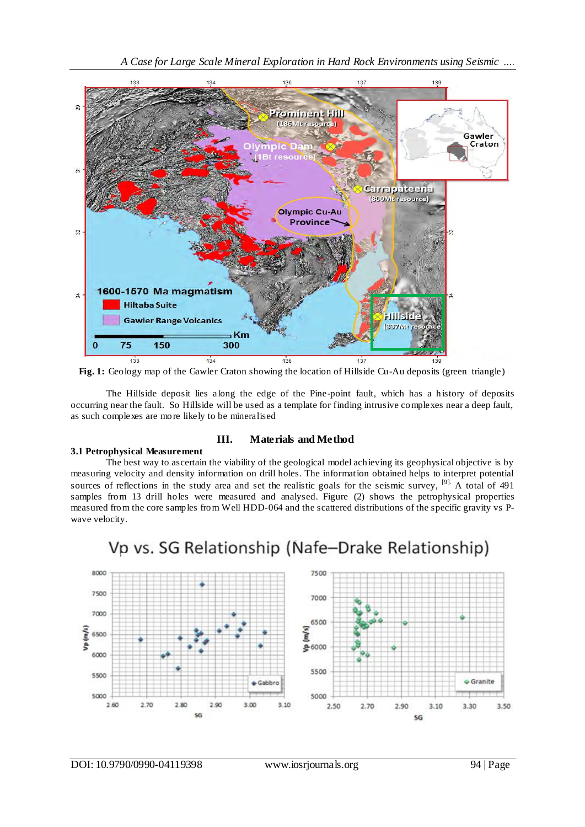

Fig. 1: Geology map of the Gawler Craton showing the location of Hillside Cu-Au deposits (green triangle)

The Hillside deposit lies along the edge of the Pine-point fault, which has a history of deposits occurring near the fault. So Hillside will be used as a template for finding intrusive complexes near a deep fault, as such complexes are more likely to be mineralised

#### **3.1 Petrophysical Measurement**

## **III. Materials and Method**

The best way to ascertain the viability of the geological model achieving its geophysical objective is by measuring velocity and density information on drill holes. The information obtained helps to interpret potential sources of reflections in the study area and set the realistic goals for the seismic survey,  $\left|9\right|$ . A total of 491 samples from 13 drill holes were measured and analysed. Figure (2) shows the petrophysical properties measured from the core samples from Well HDD-064 and the scattered distributions of the specific gravity vs Pwave velocity.



# Vp vs. SG Relationship (Nafe-Drake Relationship)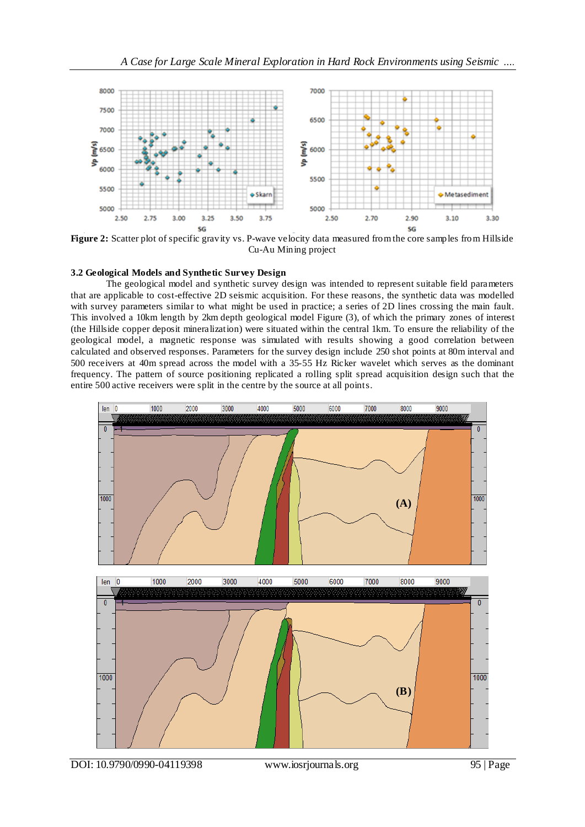

**Figure 2:** Scatter plot of specific gravity vs. P-wave velocity data measured from the core samples from Hillside Cu-Au Mining project

#### **3.2 Geological Models and Synthetic Survey Design**

The geological model and synthetic survey design was intended to represent suitable field parameters that are applicable to cost-effective 2D seismic acquisition. For these reasons, the synthetic data was modelled with survey parameters similar to what might be used in practice; a series of 2D lines crossing the main fault. This involved a 10km length by 2km depth geological model Figure (3), of which the primary zones of interest (the Hillside copper deposit mineralization) were situated within the central 1km. To ensure the reliability of the geological model, a magnetic response was simulated with results showing a good correlation between calculated and observed responses. Parameters for the survey design include 250 shot points at 80m interval and 500 receivers at 40m spread across the model with a 35-55 Hz Ricker wavelet which serves as the dominant frequency. The pattern of source positioning replicated a rolling split spread acquisition design such that the entire 500 active receivers were split in the centre by the source at all points.

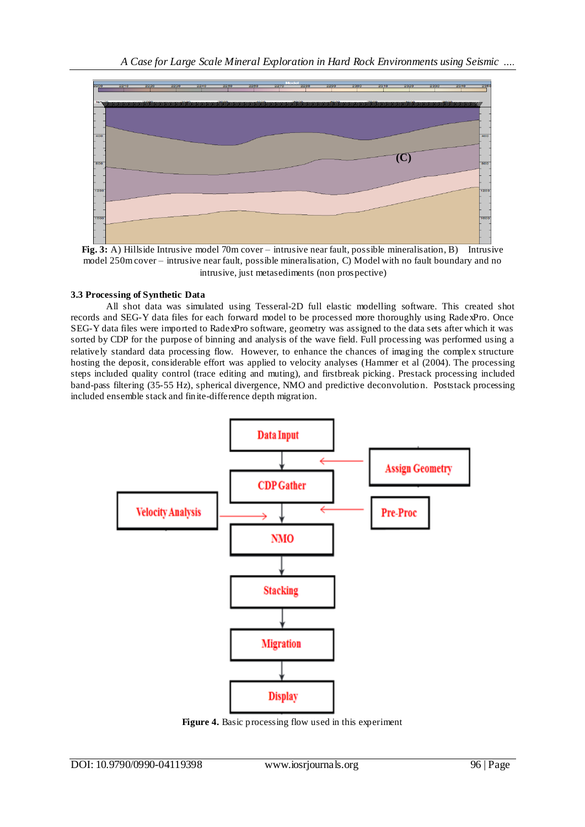

Fig. 3: A) Hillside Intrusive model 70m cover – intrusive near fault, possible mineralisation, B) Intrusive model 250m cover – intrusive near fault, possible mineralisation, C) Model with no fault boundary and no intrusive, just metasediments (non prospective)

### **3.3 Processing of Synthetic Data**

All shot data was simulated using Tesseral-2D full elastic modelling software. This created shot records and SEG-Y data files for each forward model to be processed more thoroughly using RadexPro. Once SEG-Y data files were imported to RadexPro software, geometry was assigned to the data sets after which it was sorted by CDP for the purpose of binning and analysis of the wave field. Full processing was performed using a relatively standard data processing flow. However, to enhance the chances of imaging the complex structure hosting the deposit, considerable effort was applied to velocity analyses (Hammer et al (2004). The processing steps included quality control (trace editing and muting), and firstbreak picking. Prestack processing included band-pass filtering (35-55 Hz), spherical divergence, NMO and predictive deconvolution. Poststack processing included ensemble stack and finite-difference depth migration.



**Figure 4.** Basic processing flow used in this experiment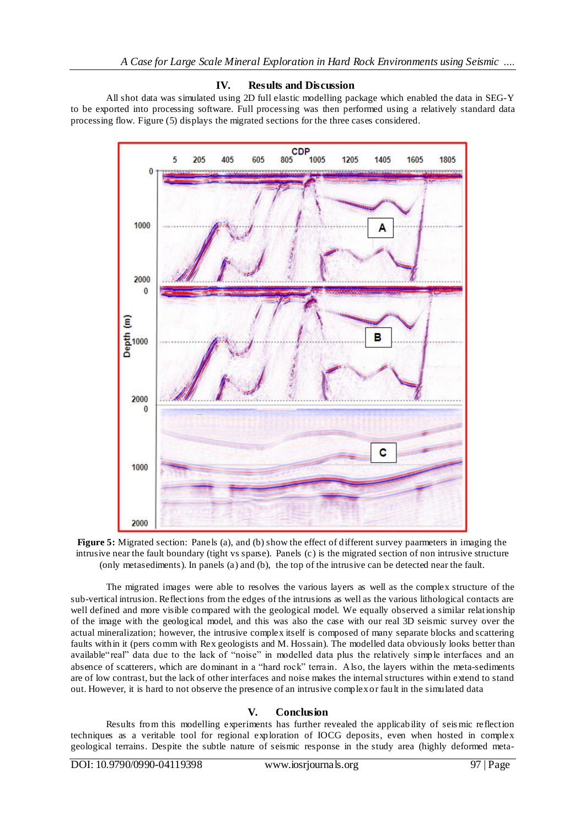#### **IV. Results and Discussion**

All shot data was simulated using 2D full elastic modelling package which enabled the data in SEG-Y to be exported into processing software. Full processing was then performed using a relatively standard data processing flow. Figure (5) displays the migrated sections for the three cases considered.





The migrated images were able to resolves the various layers as well as the complex structure of the sub-vertical intrusion. Reflections from the edges of the intrusions as well as the various lithological contacts are well defined and more visible compared with the geological model. We equally observed a similar relationship of the image with the geological model, and this was also the case with our real 3D seismic survey over the actual mineralization; however, the intrusive complex itself is composed of many separate blocks and scattering faults within it (pers comm with Rex geologists and M. Hossain). The modelled data obviously looks better than available"real" data due to the lack of "noise" in modelled data plus the relatively simple interfaces and an absence of scatterers, which are dominant in a "hard rock" terrain. Also, the layers within the meta-sediments are of low contrast, but the lack of other interfaces and noise makes the internal structures within extend to stand out. However, it is hard to not observe the presence of an intrusive complex or fault in the simulated data

#### **V. Conclusion**

Results from this modelling experiments has further revealed the applicability of seis mic reflection techniques as a veritable tool for regional exploration of IOCG deposits, even when hosted in complex geological terrains. Despite the subtle nature of seismic response in the study area (highly deformed meta